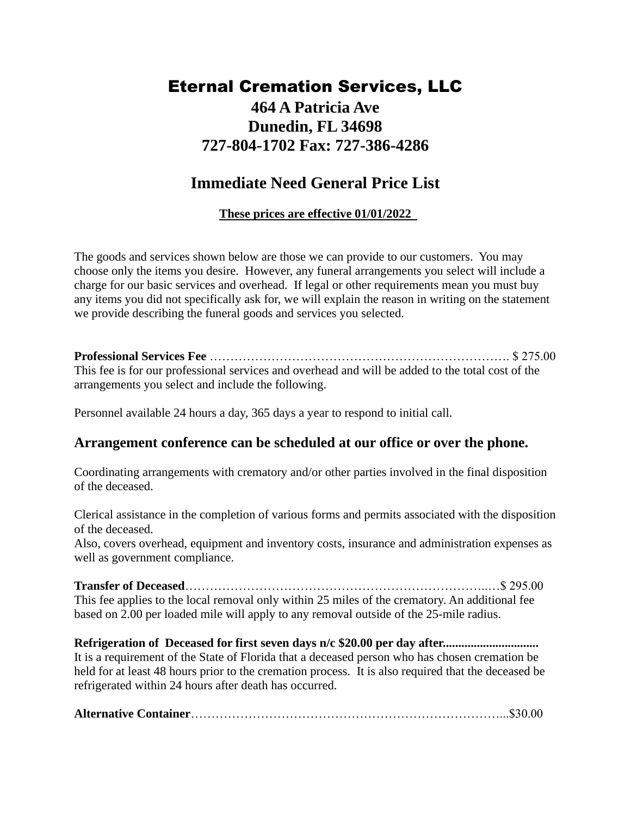## Eternal Cremation Services, LLC **464 A Patricia Ave Dunedin, FL 34698 727-804-1702 Fax: 727-386-4286**

## **Immediate Need General Price List**

#### **These prices are effective 01/01/2022**

The goods and services shown below are those we can provide to our customers. You may choose only the items you desire. However, any funeral arrangements you select will include a charge for our basic services and overhead. If legal or other requirements mean you must buy any items you did not specifically ask for, we will explain the reason in writing on the statement we provide describing the funeral goods and services you selected.

**Professional Services Fee** ………………………………………………………………. \$ 275.00 This fee is for our professional services and overhead and will be added to the total cost of the arrangements you select and include the following.

Personnel available 24 hours a day, 365 days a year to respond to initial call.

### **Arrangement conference can be scheduled at our office or over the phone.**

Coordinating arrangements with crematory and/or other parties involved in the final disposition of the deceased.

Clerical assistance in the completion of various forms and permits associated with the disposition of the deceased.

Also, covers overhead, equipment and inventory costs, insurance and administration expenses as well as government compliance.

**Transfer of Deceased**………………………………………………………………..…\$ 295.00 This fee applies to the local removal only within 25 miles of the crematory. An additional fee based on 2.00 per loaded mile will apply to any removal outside of the 25-mile radius.

**Refrigeration of Deceased for first seven days n/c \$20.00 per day after...............................** It is a requirement of the State of Florida that a deceased person who has chosen cremation be held for at least 48 hours prior to the cremation process. It is also required that the deceased be refrigerated within 24 hours after death has occurred.

**Alternative Container**…………………………………………………………………...\$30.00